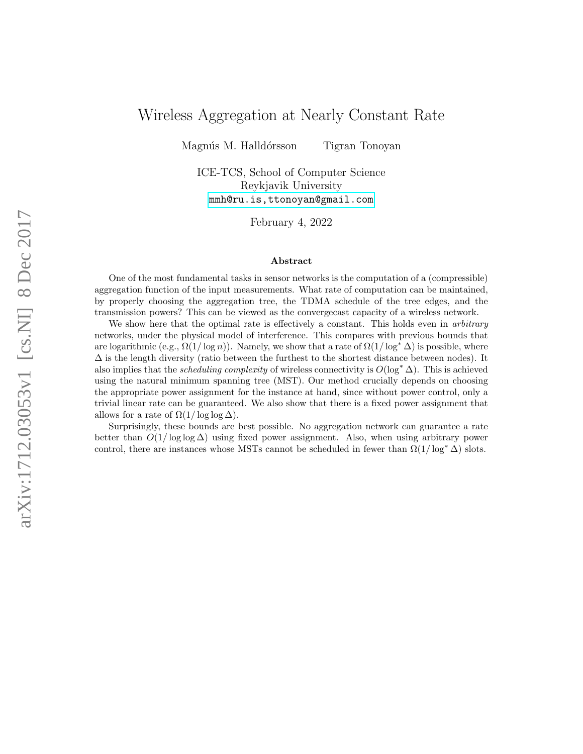# Wireless Aggregation at Nearly Constant Rate

Magnús M. Halldórsson Tigran Tonoyan

ICE-TCS, School of Computer Science Reykjavik University [mmh@ru.is,ttonoyan@gmail.com](mmh@ru.is, ttonoyan@gmail.com)

February 4, 2022

#### Abstract

One of the most fundamental tasks in sensor networks is the computation of a (compressible) aggregation function of the input measurements. What rate of computation can be maintained, by properly choosing the aggregation tree, the TDMA schedule of the tree edges, and the transmission powers? This can be viewed as the convergecast capacity of a wireless network.

We show here that the optimal rate is effectively a constant. This holds even in *arbitrary* networks, under the physical model of interference. This compares with previous bounds that are logarithmic (e.g.,  $\Omega(1/\log n)$ ). Namely, we show that a rate of  $\Omega(1/\log^* \Delta)$  is possible, where  $\Delta$  is the length diversity (ratio between the furthest to the shortest distance between nodes). It also implies that the *scheduling complexity* of wireless connectivity is  $O(\log^* \Delta)$ . This is achieved using the natural minimum spanning tree (MST). Our method crucially depends on choosing the appropriate power assignment for the instance at hand, since without power control, only a trivial linear rate can be guaranteed. We also show that there is a fixed power assignment that allows for a rate of  $\Omega(1/\log\log\Delta)$ .

Surprisingly, these bounds are best possible. No aggregation network can guarantee a rate better than  $O(1/\log \log \Delta)$  using fixed power assignment. Also, when using arbitrary power control, there are instances whose MSTs cannot be scheduled in fewer than  $\Omega(1/\log^* \Delta)$  slots.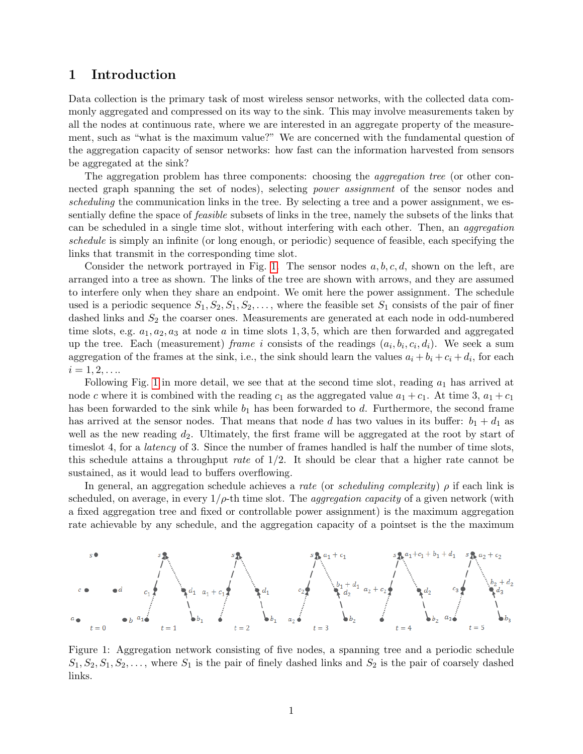### 1 Introduction

Data collection is the primary task of most wireless sensor networks, with the collected data commonly aggregated and compressed on its way to the sink. This may involve measurements taken by all the nodes at continuous rate, where we are interested in an aggregate property of the measurement, such as "what is the maximum value?" We are concerned with the fundamental question of the aggregation capacity of sensor networks: how fast can the information harvested from sensors be aggregated at the sink?

The aggregation problem has three components: choosing the aggregation tree (or other connected graph spanning the set of nodes), selecting *power assignment* of the sensor nodes and scheduling the communication links in the tree. By selecting a tree and a power assignment, we essentially define the space of feasible subsets of links in the tree, namely the subsets of the links that can be scheduled in a single time slot, without interfering with each other. Then, an aggregation schedule is simply an infinite (or long enough, or periodic) sequence of feasible, each specifying the links that transmit in the corresponding time slot.

Consider the network portrayed in Fig. [1.](#page-1-0) The sensor nodes  $a, b, c, d$ , shown on the left, are arranged into a tree as shown. The links of the tree are shown with arrows, and they are assumed to interfere only when they share an endpoint. We omit here the power assignment. The schedule used is a periodic sequence  $S_1, S_2, S_1, S_2, \ldots$ , where the feasible set  $S_1$  consists of the pair of finer dashed links and  $S_2$  the coarser ones. Measurements are generated at each node in odd-numbered time slots, e.g.  $a_1, a_2, a_3$  at node a in time slots 1, 3, 5, which are then forwarded and aggregated up the tree. Each (measurement) frame i consists of the readings  $(a_i, b_i, c_i, d_i)$ . We seek a sum aggregation of the frames at the sink, i.e., the sink should learn the values  $a_i + b_i + c_i + d_i$ , for each  $i = 1, 2, \ldots$ 

Following Fig. [1](#page-1-0) in more detail, we see that at the second time slot, reading  $a_1$  has arrived at node c where it is combined with the reading  $c_1$  as the aggregated value  $a_1 + c_1$ . At time 3,  $a_1 + c_1$ has been forwarded to the sink while  $b_1$  has been forwarded to d. Furthermore, the second frame has arrived at the sensor nodes. That means that node d has two values in its buffer:  $b_1 + d_1$  as well as the new reading  $d_2$ . Ultimately, the first frame will be aggregated at the root by start of timeslot 4, for a *latency* of 3. Since the number of frames handled is half the number of time slots, this schedule attains a throughput rate of 1/2. It should be clear that a higher rate cannot be sustained, as it would lead to buffers overflowing.

In general, an aggregation schedule achieves a rate (or scheduling complexity)  $\rho$  if each link is scheduled, on average, in every  $1/\rho$ -th time slot. The *aggregation capacity* of a given network (with a fixed aggregation tree and fixed or controllable power assignment) is the maximum aggregation rate achievable by any schedule, and the aggregation capacity of a pointset is the the maximum



<span id="page-1-0"></span>Figure 1: Aggregation network consisting of five nodes, a spanning tree and a periodic schedule  $S_1, S_2, S_1, S_2, \ldots$ , where  $S_1$  is the pair of finely dashed links and  $S_2$  is the pair of coarsely dashed links.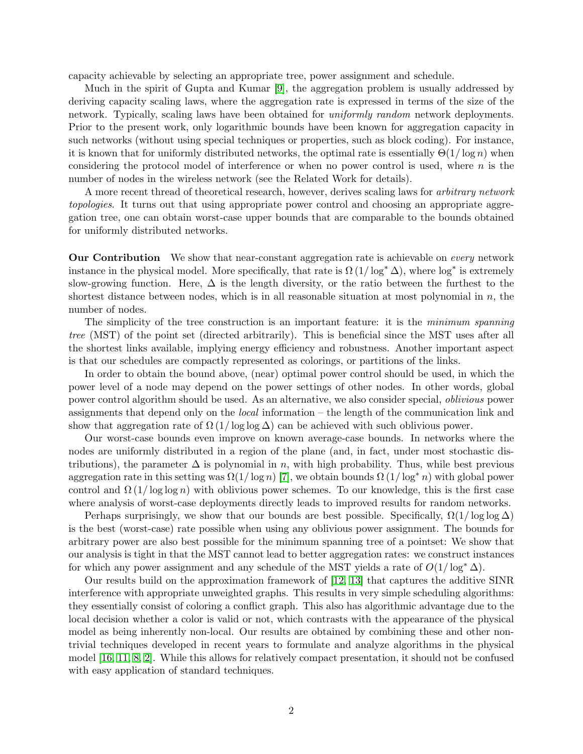capacity achievable by selecting an appropriate tree, power assignment and schedule.

Much in the spirit of Gupta and Kumar [\[9\]](#page-16-0), the aggregation problem is usually addressed by deriving capacity scaling laws, where the aggregation rate is expressed in terms of the size of the network. Typically, scaling laws have been obtained for uniformly random network deployments. Prior to the present work, only logarithmic bounds have been known for aggregation capacity in such networks (without using special techniques or properties, such as block coding). For instance, it is known that for uniformly distributed networks, the optimal rate is essentially  $\Theta(1/\log n)$  when considering the protocol model of interference or when no power control is used, where  $n$  is the number of nodes in the wireless network (see the Related Work for details).

A more recent thread of theoretical research, however, derives scaling laws for *arbitrary network* topologies. It turns out that using appropriate power control and choosing an appropriate aggregation tree, one can obtain worst-case upper bounds that are comparable to the bounds obtained for uniformly distributed networks.

**Our Contribution** We show that near-constant aggregation rate is achievable on *every* network instance in the physical model. More specifically, that rate is  $\Omega(1/\log^* \Delta)$ , where  $\log^*$  is extremely slow-growing function. Here,  $\Delta$  is the length diversity, or the ratio between the furthest to the shortest distance between nodes, which is in all reasonable situation at most polynomial in  $n$ , the number of nodes.

The simplicity of the tree construction is an important feature: it is the minimum spanning tree (MST) of the point set (directed arbitrarily). This is beneficial since the MST uses after all the shortest links available, implying energy efficiency and robustness. Another important aspect is that our schedules are compactly represented as colorings, or partitions of the links.

In order to obtain the bound above, (near) optimal power control should be used, in which the power level of a node may depend on the power settings of other nodes. In other words, global power control algorithm should be used. As an alternative, we also consider special, oblivious power assignments that depend only on the *local* information – the length of the communication link and show that aggregation rate of  $\Omega(1/\log\log\Delta)$  can be achieved with such oblivious power.

Our worst-case bounds even improve on known average-case bounds. In networks where the nodes are uniformly distributed in a region of the plane (and, in fact, under most stochastic distributions), the parameter  $\Delta$  is polynomial in n, with high probability. Thus, while best previous aggregation rate in this setting was  $\Omega(1/\log n)$  [\[7\]](#page-16-1), we obtain bounds  $\Omega(1/\log^* n)$  with global power control and  $\Omega(1/\log \log n)$  with oblivious power schemes. To our knowledge, this is the first case where analysis of worst-case deployments directly leads to improved results for random networks.

Perhaps surprisingly, we show that our bounds are best possible. Specifically,  $\Omega(1/\log \log \Delta)$ is the best (worst-case) rate possible when using any oblivious power assignment. The bounds for arbitrary power are also best possible for the minimum spanning tree of a pointset: We show that our analysis is tight in that the MST cannot lead to better aggregation rates: we construct instances for which any power assignment and any schedule of the MST yields a rate of  $O(1/\log^* \Delta)$ .

Our results build on the approximation framework of [\[12,](#page-16-2) [13\]](#page-16-3) that captures the additive SINR interference with appropriate unweighted graphs. This results in very simple scheduling algorithms: they essentially consist of coloring a conflict graph. This also has algorithmic advantage due to the local decision whether a color is valid or not, which contrasts with the appearance of the physical model as being inherently non-local. Our results are obtained by combining these and other nontrivial techniques developed in recent years to formulate and analyze algorithms in the physical model [\[16,](#page-16-4) [11,](#page-16-5) [8,](#page-16-6) [2\]](#page-15-0). While this allows for relatively compact presentation, it should not be confused with easy application of standard techniques.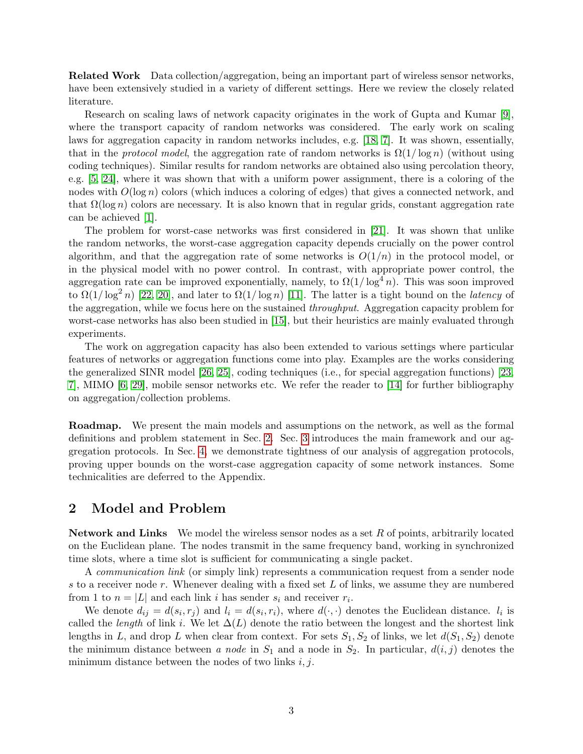Related Work Data collection/aggregation, being an important part of wireless sensor networks, have been extensively studied in a variety of different settings. Here we review the closely related literature.

Research on scaling laws of network capacity originates in the work of Gupta and Kumar [\[9\]](#page-16-0), where the transport capacity of random networks was considered. The early work on scaling laws for aggregation capacity in random networks includes, e.g. [\[18,](#page-16-7) [7\]](#page-16-1). It was shown, essentially, that in the *protocol model*, the aggregation rate of random networks is  $\Omega(1/\log n)$  (without using coding techniques). Similar results for random networks are obtained also using percolation theory, e.g. [\[5,](#page-16-8) [24\]](#page-17-0), where it was shown that with a uniform power assignment, there is a coloring of the nodes with  $O(\log n)$  colors (which induces a coloring of edges) that gives a connected network, and that  $\Omega(\log n)$  colors are necessary. It is also known that in regular grids, constant aggregation rate can be achieved [\[1\]](#page-15-1).

The problem for worst-case networks was first considered in [\[21\]](#page-17-1). It was shown that unlike the random networks, the worst-case aggregation capacity depends crucially on the power control algorithm, and that the aggregation rate of some networks is  $O(1/n)$  in the protocol model, or in the physical model with no power control. In contrast, with appropriate power control, the aggregation rate can be improved exponentially, namely, to  $\Omega(1/\log^4 n)$ . This was soon improved to  $\Omega(1/\log^2 n)$  [\[22,](#page-17-2) [20\]](#page-16-9), and later to  $\Omega(1/\log n)$  [\[11\]](#page-16-5). The latter is a tight bound on the *latency* of the aggregation, while we focus here on the sustained throughput. Aggregation capacity problem for worst-case networks has also been studied in [\[15\]](#page-16-10), but their heuristics are mainly evaluated through experiments.

The work on aggregation capacity has also been extended to various settings where particular features of networks or aggregation functions come into play. Examples are the works considering the generalized SINR model [\[26,](#page-17-3) [25\]](#page-17-4), coding techniques (i.e., for special aggregation functions) [\[23,](#page-17-5) [7\]](#page-16-1), MIMO [\[6,](#page-16-11) [29\]](#page-17-6), mobile sensor networks etc. We refer the reader to [\[14\]](#page-16-12) for further bibliography on aggregation/collection problems.

Roadmap. We present the main models and assumptions on the network, as well as the formal definitions and problem statement in Sec. [2.](#page-3-0) Sec. [3](#page-5-0) introduces the main framework and our aggregation protocols. In Sec. [4,](#page-9-0) we demonstrate tightness of our analysis of aggregation protocols, proving upper bounds on the worst-case aggregation capacity of some network instances. Some technicalities are deferred to the Appendix.

### <span id="page-3-0"></span>2 Model and Problem

Network and Links We model the wireless sensor nodes as a set  $R$  of points, arbitrarily located on the Euclidean plane. The nodes transmit in the same frequency band, working in synchronized time slots, where a time slot is sufficient for communicating a single packet.

A communication link (or simply link) represents a communication request from a sender node s to a receiver node r. Whenever dealing with a fixed set  $L$  of links, we assume they are numbered from 1 to  $n = |L|$  and each link i has sender  $s_i$  and receiver  $r_i$ .

We denote  $d_{ij} = d(s_i, r_j)$  and  $l_i = d(s_i, r_i)$ , where  $d(\cdot, \cdot)$  denotes the Euclidean distance.  $l_i$  is called the *length* of link i. We let  $\Delta(L)$  denote the ratio between the longest and the shortest link lengths in L, and drop L when clear from context. For sets  $S_1, S_2$  of links, we let  $d(S_1, S_2)$  denote the minimum distance between a node in  $S_1$  and a node in  $S_2$ . In particular,  $d(i, j)$  denotes the minimum distance between the nodes of two links  $i, j$ .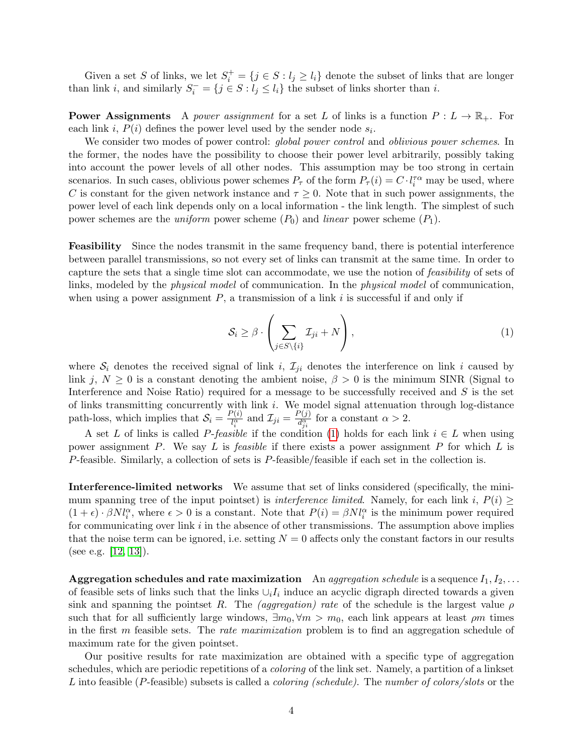Given a set S of links, we let  $S_i^+ = \{j \in S : l_j \ge l_i\}$  denote the subset of links that are longer than link *i*, and similarly  $S_i^- = \{j \in S : l_j \le l_i\}$  the subset of links shorter than *i*.

**Power Assignments** A *power assignment* for a set L of links is a function  $P: L \to \mathbb{R}_+$ . For each link *i*,  $P(i)$  defines the power level used by the sender node  $s_i$ .

We consider two modes of power control: *global power control* and *oblivious power schemes*. In the former, the nodes have the possibility to choose their power level arbitrarily, possibly taking into account the power levels of all other nodes. This assumption may be too strong in certain scenarios. In such cases, oblivious power schemes  $P_{\tau}$  of the form  $P_{\tau}(i) = C \cdot l_i^{\tau \alpha}$  may be used, where C is constant for the given network instance and  $\tau \geq 0$ . Note that in such power assignments, the power level of each link depends only on a local information - the link length. The simplest of such power schemes are the *uniform* power scheme  $(P_0)$  and *linear* power scheme  $(P_1)$ .

Feasibility Since the nodes transmit in the same frequency band, there is potential interference between parallel transmissions, so not every set of links can transmit at the same time. In order to capture the sets that a single time slot can accommodate, we use the notion of feasibility of sets of links, modeled by the *physical model* of communication. In the *physical model* of communication, when using a power assignment  $P$ , a transmission of a link i is successful if and only if

<span id="page-4-0"></span>
$$
\mathcal{S}_i \ge \beta \cdot \left( \sum_{j \in S \setminus \{i\}} \mathcal{I}_{ji} + N \right),\tag{1}
$$

where  $S_i$  denotes the received signal of link i,  $\mathcal{I}_{ii}$  denotes the interference on link i caused by link j,  $N \geq 0$  is a constant denoting the ambient noise,  $\beta > 0$  is the minimum SINR (Signal to Interference and Noise Ratio) required for a message to be successfully received and S is the set of links transmitting concurrently with link  $i$ . We model signal attenuation through log-distance path-loss, which implies that  $S_i = \frac{P(i)}{l^{\alpha}}$  $\frac{P(i)}{l_i^{\alpha}}$  and  $\mathcal{I}_{ji} = \frac{P(j)}{d_{ji}^{\alpha}}$  $\frac{d^{(j)}_{j}}{d_{ji}^{\alpha}}$  for a constant  $\alpha > 2$ .

A set L of links is called P-feasible if the condition [\(1\)](#page-4-0) holds for each link  $i \in L$  when using power assignment P. We say L is *feasible* if there exists a power assignment P for which L is P-feasible. Similarly, a collection of sets is P-feasible/feasible if each set in the collection is.

Interference-limited networks We assume that set of links considered (specifically, the minimum spanning tree of the input pointset) is *interference limited*. Namely, for each link i,  $P(i) \geq$  $(1+\epsilon) \cdot \beta N l_i^{\alpha}$ , where  $\epsilon > 0$  is a constant. Note that  $P(i) = \beta N l_i^{\alpha}$  is the minimum power required for communicating over link  $i$  in the absence of other transmissions. The assumption above implies that the noise term can be ignored, i.e. setting  $N = 0$  affects only the constant factors in our results (see e.g. [\[12,](#page-16-2) [13\]](#page-16-3)).

**Aggregation schedules and rate maximization** An aggregation schedule is a sequence  $I_1, I_2, \ldots$ of feasible sets of links such that the links  $\cup_i I_i$  induce an acyclic digraph directed towards a given sink and spanning the pointset R. The *(aggregation) rate* of the schedule is the largest value  $\rho$ such that for all sufficiently large windows,  $\exists m_0, \forall m > m_0$ , each link appears at least  $\rho m$  times in the first m feasible sets. The rate maximization problem is to find an aggregation schedule of maximum rate for the given pointset.

Our positive results for rate maximization are obtained with a specific type of aggregation schedules, which are periodic repetitions of a *coloring* of the link set. Namely, a partition of a linkset L into feasible (P-feasible) subsets is called a *coloring (schedule)*. The number of colors/slots or the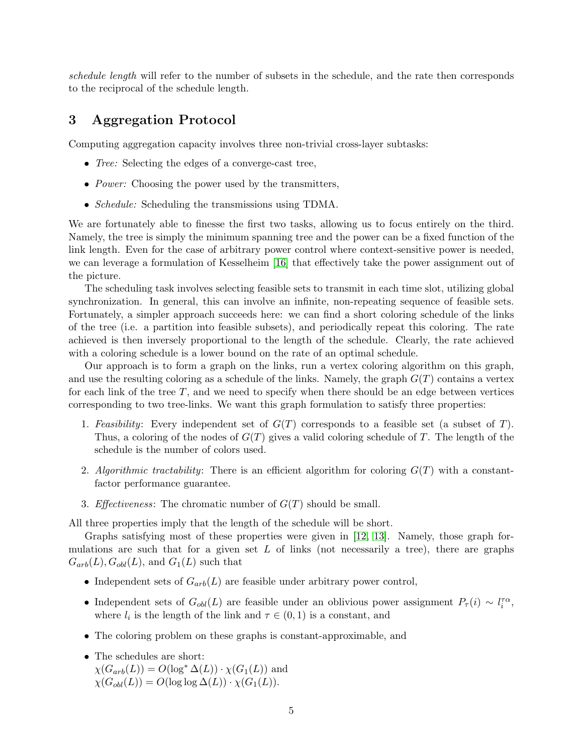schedule length will refer to the number of subsets in the schedule, and the rate then corresponds to the reciprocal of the schedule length.

## <span id="page-5-0"></span>3 Aggregation Protocol

Computing aggregation capacity involves three non-trivial cross-layer subtasks:

- *Tree:* Selecting the edges of a converge-cast tree,
- *Power:* Choosing the power used by the transmitters,
- *Schedule:* Scheduling the transmissions using TDMA.

We are fortunately able to finesse the first two tasks, allowing us to focus entirely on the third. Namely, the tree is simply the minimum spanning tree and the power can be a fixed function of the link length. Even for the case of arbitrary power control where context-sensitive power is needed, we can leverage a formulation of Kesselheim [\[16\]](#page-16-4) that effectively take the power assignment out of the picture.

The scheduling task involves selecting feasible sets to transmit in each time slot, utilizing global synchronization. In general, this can involve an infinite, non-repeating sequence of feasible sets. Fortunately, a simpler approach succeeds here: we can find a short coloring schedule of the links of the tree (i.e. a partition into feasible subsets), and periodically repeat this coloring. The rate achieved is then inversely proportional to the length of the schedule. Clearly, the rate achieved with a coloring schedule is a lower bound on the rate of an optimal schedule.

Our approach is to form a graph on the links, run a vertex coloring algorithm on this graph, and use the resulting coloring as a schedule of the links. Namely, the graph  $G(T)$  contains a vertex for each link of the tree  $T$ , and we need to specify when there should be an edge between vertices corresponding to two tree-links. We want this graph formulation to satisfy three properties:

- 1. Feasibility: Every independent set of  $G(T)$  corresponds to a feasible set (a subset of T). Thus, a coloring of the nodes of  $G(T)$  gives a valid coloring schedule of T. The length of the schedule is the number of colors used.
- 2. Algorithmic tractability: There is an efficient algorithm for coloring  $G(T)$  with a constantfactor performance guarantee.
- 3. *Effectiveness*: The chromatic number of  $G(T)$  should be small.

All three properties imply that the length of the schedule will be short.

Graphs satisfying most of these properties were given in [\[12,](#page-16-2) [13\]](#page-16-3). Namely, those graph formulations are such that for a given set  $L$  of links (not necessarily a tree), there are graphs  $G_{arb}(L), G_{obl}(L),$  and  $G_1(L)$  such that

- Independent sets of  $G_{arb}(L)$  are feasible under arbitrary power control,
- Independent sets of  $G_{obl}(L)$  are feasible under an oblivious power assignment  $P_{\tau}(i) \sim l_i^{\tau \alpha}$ , where  $l_i$  is the length of the link and  $\tau \in (0,1)$  is a constant, and
- The coloring problem on these graphs is constant-approximable, and
- The schedules are short:
	- $\chi(G_{arb}(L)) = O(\log^* \Delta(L)) \cdot \chi(G_1(L))$  and  $\chi(G_{obl}(L)) = O(\log \log \Delta(L)) \cdot \chi(G_1(L)).$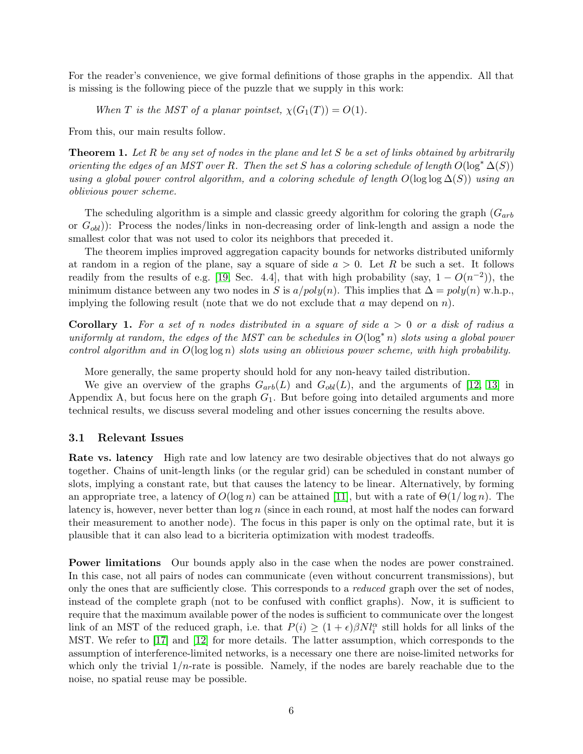For the reader's convenience, we give formal definitions of those graphs in the appendix. All that is missing is the following piece of the puzzle that we supply in this work:

When T is the MST of a planar pointset,  $\chi(G_1(T)) = O(1)$ .

From this, our main results follow.

<span id="page-6-0"></span>**Theorem 1.** Let R be any set of nodes in the plane and let S be a set of links obtained by arbitrarily orienting the edges of an MST over R. Then the set S has a coloring schedule of length  $O(\log^* \Delta(S))$ using a global power control algorithm, and a coloring schedule of length  $O(\log \log \Delta(S))$  using an oblivious power scheme.

The scheduling algorithm is a simple and classic greedy algorithm for coloring the graph  $(G_{arb})$ or  $G_{\text{obl}}$ ): Process the nodes/links in non-decreasing order of link-length and assign a node the smallest color that was not used to color its neighbors that preceded it.

The theorem implies improved aggregation capacity bounds for networks distributed uniformly at random in a region of the plane, say a square of side  $a > 0$ . Let R be such a set. It follows readily from the results of e.g. [\[19,](#page-16-13) Sec. 4.4], that with high probability (say,  $1 - O(n^{-2})$ ), the minimum distance between any two nodes in S is  $a/poly(n)$ . This implies that  $\Delta = poly(n)$  w.h.p., implying the following result (note that we do not exclude that  $a$  may depend on  $n$ ).

**Corollary 1.** For a set of n nodes distributed in a square of side  $a > 0$  or a disk of radius a uniformly at random, the edges of the MST can be schedules in  $O(\log^* n)$  slots using a global power control algorithm and in  $O(\log \log n)$  slots using an oblivious power scheme, with high probability.

More generally, the same property should hold for any non-heavy tailed distribution.

We give an overview of the graphs  $G_{arb}(L)$  and  $G_{obl}(L)$ , and the arguments of [\[12,](#page-16-2) [13\]](#page-16-3) in Appendix A, but focus here on the graph  $G_1$ . But before going into detailed arguments and more technical results, we discuss several modeling and other issues concerning the results above.

#### 3.1 Relevant Issues

Rate vs. latency High rate and low latency are two desirable objectives that do not always go together. Chains of unit-length links (or the regular grid) can be scheduled in constant number of slots, implying a constant rate, but that causes the latency to be linear. Alternatively, by forming an appropriate tree, a latency of  $O(\log n)$  can be attained [\[11\]](#page-16-5), but with a rate of  $\Theta(1/\log n)$ . The latency is, however, never better than  $\log n$  (since in each round, at most half the nodes can forward their measurement to another node). The focus in this paper is only on the optimal rate, but it is plausible that it can also lead to a bicriteria optimization with modest tradeoffs.

Power limitations Our bounds apply also in the case when the nodes are power constrained. In this case, not all pairs of nodes can communicate (even without concurrent transmissions), but only the ones that are sufficiently close. This corresponds to a reduced graph over the set of nodes, instead of the complete graph (not to be confused with conflict graphs). Now, it is sufficient to require that the maximum available power of the nodes is sufficient to communicate over the longest link of an MST of the reduced graph, i.e. that  $P(i) \geq (1 + \epsilon)\beta N l_i^{\alpha}$  still holds for all links of the MST. We refer to [\[17\]](#page-16-14) and [\[12\]](#page-16-2) for more details. The latter assumption, which corresponds to the assumption of interference-limited networks, is a necessary one there are noise-limited networks for which only the trivial  $1/n$ -rate is possible. Namely, if the nodes are barely reachable due to the noise, no spatial reuse may be possible.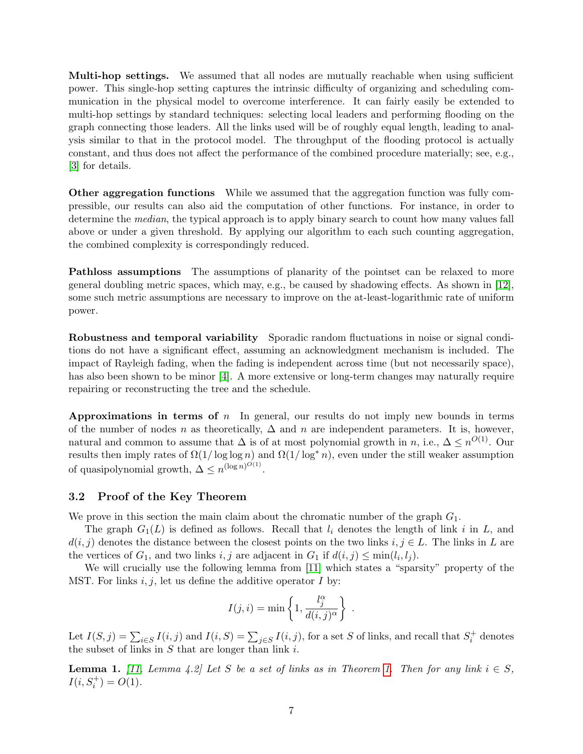Multi-hop settings. We assumed that all nodes are mutually reachable when using sufficient power. This single-hop setting captures the intrinsic difficulty of organizing and scheduling communication in the physical model to overcome interference. It can fairly easily be extended to multi-hop settings by standard techniques: selecting local leaders and performing flooding on the graph connecting those leaders. All the links used will be of roughly equal length, leading to analysis similar to that in the protocol model. The throughput of the flooding protocol is actually constant, and thus does not affect the performance of the combined procedure materially; see, e.g., [\[3\]](#page-16-15) for details.

Other aggregation functions While we assumed that the aggregation function was fully compressible, our results can also aid the computation of other functions. For instance, in order to determine the *median*, the typical approach is to apply binary search to count how many values fall above or under a given threshold. By applying our algorithm to each such counting aggregation, the combined complexity is correspondingly reduced.

Pathloss assumptions The assumptions of planarity of the pointset can be relaxed to more general doubling metric spaces, which may, e.g., be caused by shadowing effects. As shown in [\[12\]](#page-16-2), some such metric assumptions are necessary to improve on the at-least-logarithmic rate of uniform power.

Robustness and temporal variability Sporadic random fluctuations in noise or signal conditions do not have a significant effect, assuming an acknowledgment mechanism is included. The impact of Rayleigh fading, when the fading is independent across time (but not necessarily space), has also been shown to be minor [\[4\]](#page-16-16). A more extensive or long-term changes may naturally require repairing or reconstructing the tree and the schedule.

**Approximations in terms of** n In general, our results do not imply new bounds in terms of the number of nodes n as theoretically,  $\Delta$  and n are independent parameters. It is, however, natural and common to assume that  $\Delta$  is of at most polynomial growth in n, i.e.,  $\Delta \leq n^{O(1)}$ . Our results then imply rates of  $\Omega(1/\log\log n)$  and  $\Omega(1/\log^* n)$ , even under the still weaker assumption of quasipolynomial growth,  $\Delta \leq n^{(\log n)^{O(1)}}$ .

#### <span id="page-7-1"></span>3.2 Proof of the Key Theorem

We prove in this section the main claim about the chromatic number of the graph  $G_1$ .

The graph  $G_1(L)$  is defined as follows. Recall that  $l_i$  denotes the length of link i in L, and  $d(i, j)$  denotes the distance between the closest points on the two links  $i, j \in L$ . The links in L are the vertices of  $G_1$ , and two links  $i, j$  are adjacent in  $G_1$  if  $d(i, j) \leq \min(l_i, l_j)$ .

We will crucially use the following lemma from [\[11\]](#page-16-5) which states a "sparsity" property of the MST. For links  $i, j$ , let us define the additive operator  $I$  by:

$$
I(j,i) = \min\left\{1, \frac{l_j^{\alpha}}{d(i,j)^{\alpha}}\right\} .
$$

Let  $I(S, j) = \sum_{i \in S} I(i, j)$  and  $I(i, S) = \sum_{j \in S} I(i, j)$ , for a set S of links, and recall that  $S_i^+$  denotes the subset of links in  $S$  that are longer than link  $i$ .

<span id="page-7-0"></span>**Lemma [1.](#page-6-0)** [\[11,](#page-16-5) Lemma 4.2] Let S be a set of links as in Theorem 1. Then for any link  $i \in S$ ,  $I(i, S_i^+) = O(1).$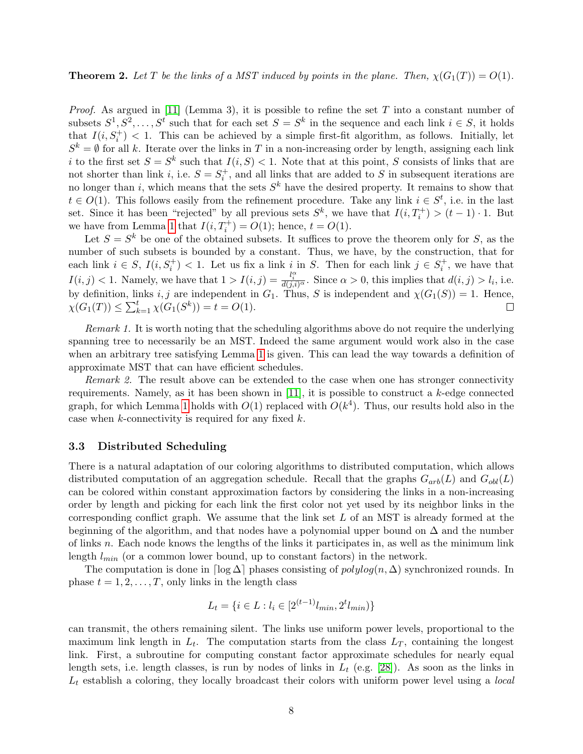**Theorem 2.** Let T be the links of a MST induced by points in the plane. Then,  $\chi(G_1(T)) = O(1)$ .

*Proof.* As argued in [\[11\]](#page-16-5) (Lemma 3), it is possible to refine the set T into a constant number of subsets  $S^1, S^2, \ldots, S^t$  such that for each set  $S = S^k$  in the sequence and each link  $i \in S$ , it holds that  $I(i, S_i^+) < 1$ . This can be achieved by a simple first-fit algorithm, as follows. Initially, let  $S^k = \emptyset$  for all k. Iterate over the links in T in a non-increasing order by length, assigning each link i to the first set  $S = S^k$  such that  $I(i, S) < 1$ . Note that at this point, S consists of links that are not shorter than link *i*, i.e.  $S = S_i^+$ , and all links that are added to S in subsequent iterations are no longer than i, which means that the sets  $S<sup>k</sup>$  have the desired property. It remains to show that  $t \in O(1)$ . This follows easily from the refinement procedure. Take any link  $i \in S^t$ , i.e. in the last set. Since it has been "rejected" by all previous sets  $S^k$ , we have that  $I(i, T^+_i) > (t - 1) \cdot 1$ . But we have from Lemma [1](#page-7-0) that  $I(i, T_i^+) = O(1)$ ; hence,  $t = O(1)$ .

Let  $S = S^k$  be one of the obtained subsets. It suffices to prove the theorem only for S, as the number of such subsets is bounded by a constant. Thus, we have, by the construction, that for each link  $i \in S$ ,  $I(i, S_i^+) < 1$ . Let us fix a link i in S. Then for each link  $j \in S_i^+$ , we have that  $I(i, j) < 1$ . Namely, we have that  $1 > I(i, j) = \frac{l_i^{\alpha}}{d(j,i)^{\alpha}}$ . Since  $\alpha > 0$ , this implies that  $d(i, j) > l_i$ , i.e. by definition, links i, j are independent in  $G_1$ . Thus, S is independent and  $\chi(G_1(S)) = 1$ . Hence,  $\chi(G_1(T)) \leq \sum_{k=1}^t \chi(G_1(S^k)) = t = O(1).$  $\Box$ 

Remark 1. It is worth noting that the scheduling algorithms above do not require the underlying spanning tree to necessarily be an MST. Indeed the same argument would work also in the case when an arbitrary tree satisfying Lemma [1](#page-7-0) is given. This can lead the way towards a definition of approximate MST that can have efficient schedules.

Remark 2. The result above can be extended to the case when one has stronger connectivity requirements. Namely, as it has been shown in  $[11]$ , it is possible to construct a k-edge connected graph, for which Lemma [1](#page-7-0) holds with  $O(1)$  replaced with  $O(k^4)$ . Thus, our results hold also in the case when  $k$ -connectivity is required for any fixed  $k$ .

#### 3.3 Distributed Scheduling

There is a natural adaptation of our coloring algorithms to distributed computation, which allows distributed computation of an aggregation schedule. Recall that the graphs  $G_{arb}(L)$  and  $G_{obl}(L)$ can be colored within constant approximation factors by considering the links in a non-increasing order by length and picking for each link the first color not yet used by its neighbor links in the corresponding conflict graph. We assume that the link set  $L$  of an MST is already formed at the beginning of the algorithm, and that nodes have a polynomial upper bound on  $\Delta$  and the number of links  $n$ . Each node knows the lengths of the links it participates in, as well as the minimum link length  $l_{min}$  (or a common lower bound, up to constant factors) in the network.

The computation is done in  $\lceil \log \Delta \rceil$  phases consisting of  $polylog(n, \Delta)$  synchronized rounds. In phase  $t = 1, 2, \ldots, T$ , only links in the length class

$$
L_t = \{ i \in L : l_i \in [2^{(t-1)}l_{min}, 2^t l_{min}) \}
$$

can transmit, the others remaining silent. The links use uniform power levels, proportional to the maximum link length in  $L_t$ . The computation starts from the class  $L_T$ , containing the longest link. First, a subroutine for computing constant factor approximate schedules for nearly equal length sets, i.e. length classes, is run by nodes of links in  $L_t$  (e.g. [\[28\]](#page-17-7)). As soon as the links in  $L_t$  establish a coloring, they locally broadcast their colors with uniform power level using a *local*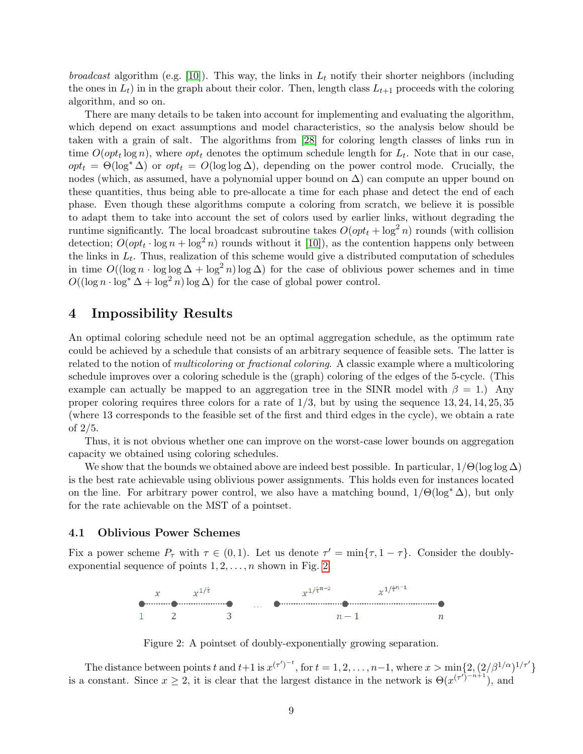*broadcast* algorithm (e.g. [\[10\]](#page-16-17)). This way, the links in  $L_t$  notify their shorter neighbors (including the ones in  $L_t$ ) in in the graph about their color. Then, length class  $L_{t+1}$  proceeds with the coloring algorithm, and so on.

There are many details to be taken into account for implementing and evaluating the algorithm, which depend on exact assumptions and model characteristics, so the analysis below should be taken with a grain of salt. The algorithms from [\[28\]](#page-17-7) for coloring length classes of links run in time  $O(\varphi t_t \log n)$ , where  $\varphi t_t$  denotes the optimum schedule length for  $L_t$ . Note that in our case,  $opt_t = \Theta(\log^* \Delta)$  or  $opt_t = O(\log \log \Delta)$ , depending on the power control mode. Crucially, the nodes (which, as assumed, have a polynomial upper bound on  $\Delta$ ) can compute an upper bound on these quantities, thus being able to pre-allocate a time for each phase and detect the end of each phase. Even though these algorithms compute a coloring from scratch, we believe it is possible to adapt them to take into account the set of colors used by earlier links, without degrading the runtime significantly. The local broadcast subroutine takes  $O(\varphi t_t + \log^2 n)$  rounds (with collision detection;  $O(\varphi t_t \cdot \log n + \log^2 n)$  rounds without it [\[10\]](#page-16-17)), as the contention happens only between the links in  $L_t$ . Thus, realization of this scheme would give a distributed computation of schedules in time  $O((\log n \cdot \log \log \Delta + \log^2 n) \log \Delta)$  for the case of oblivious power schemes and in time  $O((\log n \cdot \log^* \Delta + \log^2 n) \log \Delta)$  for the case of global power control.

### <span id="page-9-0"></span>4 Impossibility Results

An optimal coloring schedule need not be an optimal aggregation schedule, as the optimum rate could be achieved by a schedule that consists of an arbitrary sequence of feasible sets. The latter is related to the notion of multicoloring or fractional coloring. A classic example where a multicoloring schedule improves over a coloring schedule is the (graph) coloring of the edges of the 5-cycle. (This example can actually be mapped to an aggregation tree in the SINR model with  $\beta = 1$ .) Any proper coloring requires three colors for a rate of  $1/3$ , but by using the sequence  $13, 24, 14, 25, 35$ (where 13 corresponds to the feasible set of the first and third edges in the cycle), we obtain a rate of 2/5.

Thus, it is not obvious whether one can improve on the worst-case lower bounds on aggregation capacity we obtained using coloring schedules.

We show that the bounds we obtained above are indeed best possible. In particular,  $1/\Theta(\log \log \Delta)$ is the best rate achievable using oblivious power assignments. This holds even for instances located on the line. For arbitrary power control, we also have a matching bound,  $1/\Theta(\log^* \Delta)$ , but only for the rate achievable on the MST of a pointset.

#### <span id="page-9-2"></span>4.1 Oblivious Power Schemes

Fix a power scheme  $P_{\tau}$  with  $\tau \in (0,1)$ . Let us denote  $\tau' = \min{\tau, 1 - \tau}$ . Consider the doublyexponential sequence of points  $1, 2, \ldots, n$  shown in Fig. [2.](#page-9-1)



<span id="page-9-1"></span>Figure 2: A pointset of doubly-exponentially growing separation.

The distance between points t and  $t+1$  is  $x^{(\tau')^{-t}}$ , for  $t=1,2,\ldots,n-1$ , where  $x>\min\{2,(2/\beta^{1/\alpha})^{1/\tau'}\}$ is a constant. Since  $x \ge 2$ , it is clear that the largest distance in the network is  $\Theta(x^{(\tau)})^{-n+1}$ , and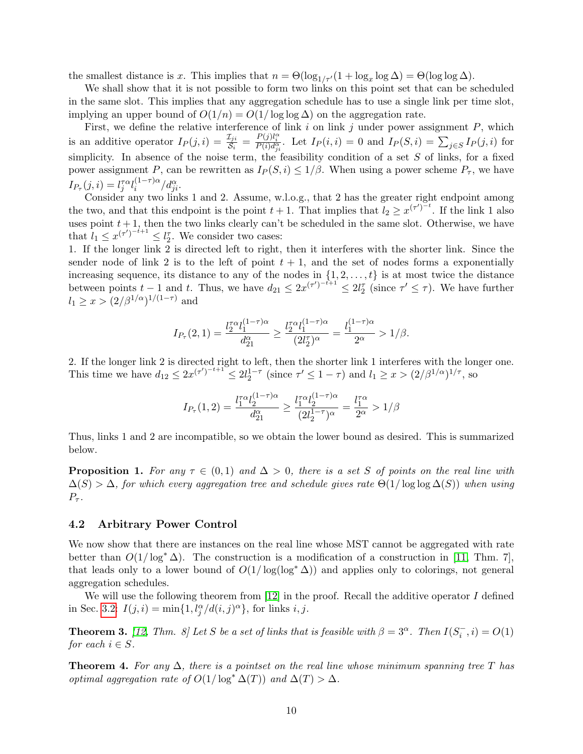the smallest distance is x. This implies that  $n = \Theta(\log_{1/\tau'}(1 + \log_x \log \Delta) = \Theta(\log \log \Delta)$ .

We shall show that it is not possible to form two links on this point set that can be scheduled in the same slot. This implies that any aggregation schedule has to use a single link per time slot, implying an upper bound of  $O(1/n) = O(1/\log \log \Delta)$  on the aggregation rate.

First, we define the relative interference of link  $i$  on link  $j$  under power assignment  $P$ , which is an additive operator  $I_P(j,i) = \frac{\mathcal{I}_{ji}}{\mathcal{S}_i} = \frac{P(j)l_i^{\alpha}}{P(i)d_{ji}^{\alpha}}$ . Let  $I_P(i,i) = 0$  and  $I_P(S,i) = \sum_{j \in S} I_P(j,i)$  for simplicity. In absence of the noise term, the feasibility condition of a set  $S$  of links, for a fixed power assignment P, can be rewritten as  $I_P(S, i) \leq 1/\beta$ . When using a power scheme  $P_\tau$ , we have  $I_{P_{\tau}}(j,i) = l_j^{\tau\alpha} l_i^{(1-\tau)\alpha}$  $i^{(1-\tau)\alpha}/d_{ji}^{\alpha}.$ 

Consider any two links 1 and 2. Assume, w.l.o.g., that 2 has the greater right endpoint among the two, and that this endpoint is the point  $t + 1$ . That implies that  $l_2 \geq x^{(\tau')^{-t}}$ . If the link 1 also uses point  $t + 1$ , then the two links clearly can't be scheduled in the same slot. Otherwise, we have that  $l_1 \leq x^{(\tau')^{-t+1}} \leq l_2^{\tau}$ . We consider two cases:

1. If the longer link 2 is directed left to right, then it interferes with the shorter link. Since the sender node of link 2 is to the left of point  $t + 1$ , and the set of nodes forms a exponentially increasing sequence, its distance to any of the nodes in  $\{1, 2, \ldots, t\}$  is at most twice the distance between points  $t-1$  and  $t$ . Thus, we have  $d_{21} \leq 2x^{(\tau')-t+1} \leq 2l_2^{\tau}$  (since  $\tau' \leq \tau$ ). We have further  $l_1 \geq x > (2/\beta^{1/\alpha})^{1/(1-\tau)}$  and

$$
I_{P_{\tau}}(2,1) = \frac{l_2^{\tau \alpha} l_1^{(1-\tau)\alpha}}{d_{21}^{\alpha}} \ge \frac{l_2^{\tau \alpha} l_1^{(1-\tau)\alpha}}{(2l_2^{\tau})^{\alpha}} = \frac{l_1^{(1-\tau)\alpha}}{2^{\alpha}} > 1/\beta.
$$

2. If the longer link 2 is directed right to left, then the shorter link 1 interferes with the longer one. This time we have  $d_{12} \leq 2x^{(\tau')^{-t+1}} \leq 2l_2^{1-\tau}$  (since  $\tau' \leq 1-\tau$ ) and  $l_1 \geq x > (2/\beta^{1/\alpha})^{1/\tau}$ , so

$$
I_{P_{\tau}}(1,2) = \frac{l_1^{\tau\alpha} l_2^{(1-\tau)\alpha}}{d_{21}^{\alpha}} \ge \frac{l_1^{\tau\alpha} l_2^{(1-\tau)\alpha}}{(2l_2^{1-\tau})^{\alpha}} = \frac{l_1^{\tau\alpha}}{2^{\alpha}} > 1/\beta
$$

Thus, links 1 and 2 are incompatible, so we obtain the lower bound as desired. This is summarized below.

**Proposition 1.** For any  $\tau \in (0,1)$  and  $\Delta > 0$ , there is a set S of points on the real line with  $\Delta(S) > \Delta$ , for which every aggregation tree and schedule gives rate  $\Theta(1/\log \log \Delta(S))$  when using  $P_{\tau}$ .

#### 4.2 Arbitrary Power Control

We now show that there are instances on the real line whose MST cannot be aggregated with rate better than  $O(1/\log^* \Delta)$ . The construction is a modification of a construction in [\[11,](#page-16-5) Thm. 7], that leads only to a lower bound of  $O(1/\log(\log^* \Delta))$  and applies only to colorings, not general aggregation schedules.

We will use the following theorem from  $[12]$  in the proof. Recall the additive operator I defined in Sec. [3.2:](#page-7-1)  $I(j, i) = \min\{1, l_j^{\alpha}/d(i, j)^{\alpha}\}\text{, for links } i, j.$ 

<span id="page-10-0"></span>**Theorem 3.** [\[12,](#page-16-2) Thm. 8] Let S be a set of links that is feasible with  $\beta = 3^{\alpha}$ . Then  $I(S_i^-, i) = O(1)$ for each  $i \in S$ .

**Theorem 4.** For any  $\Delta$ , there is a pointset on the real line whose minimum spanning tree T has optimal aggregation rate of  $O(1/\log^* \Delta(T))$  and  $\Delta(T) > \Delta$ .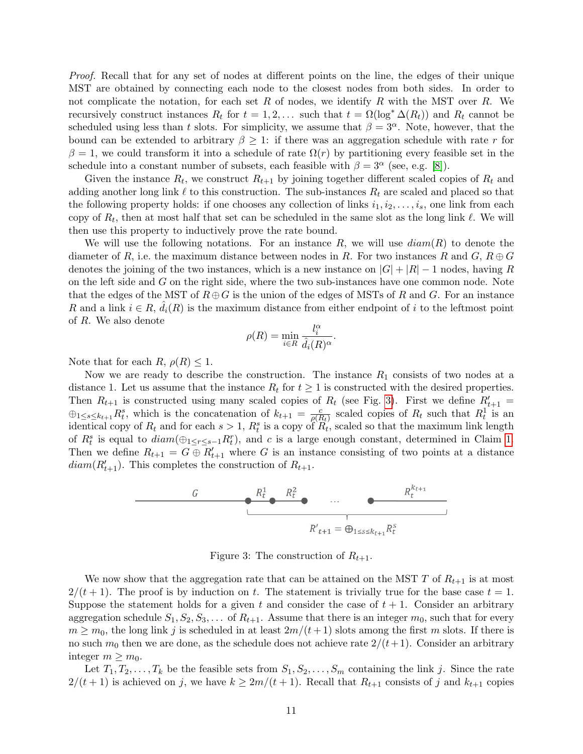Proof. Recall that for any set of nodes at different points on the line, the edges of their unique MST are obtained by connecting each node to the closest nodes from both sides. In order to not complicate the notation, for each set R of nodes, we identify R with the MST over R. We recursively construct instances  $R_t$  for  $t = 1, 2, \ldots$  such that  $t = \Omega(\log^* \Delta(R_t))$  and  $R_t$  cannot be scheduled using less than t slots. For simplicity, we assume that  $\beta = 3^{\alpha}$ . Note, however, that the bound can be extended to arbitrary  $\beta \geq 1$ : if there was an aggregation schedule with rate r for  $\beta = 1$ , we could transform it into a schedule of rate  $\Omega(r)$  by partitioning every feasible set in the schedule into a constant number of subsets, each feasible with  $\beta = 3^{\alpha}$  (see, e.g. [\[8\]](#page-16-6)).

Given the instance  $R_t$ , we construct  $R_{t+1}$  by joining together different scaled copies of  $R_t$  and adding another long link  $\ell$  to this construction. The sub-instances  $R_t$  are scaled and placed so that the following property holds: if one chooses any collection of links  $i_1, i_2, \ldots, i_s$ , one link from each copy of  $R_t$ , then at most half that set can be scheduled in the same slot as the long link  $\ell$ . We will then use this property to inductively prove the rate bound.

We will use the following notations. For an instance R, we will use  $diam(R)$  to denote the diameter of R, i.e. the maximum distance between nodes in R. For two instances R and G,  $R \oplus G$ denotes the joining of the two instances, which is a new instance on  $|G| + |R| - 1$  nodes, having R on the left side and  $G$  on the right side, where the two sub-instances have one common node. Note that the edges of the MST of  $R \oplus G$  is the union of the edges of MSTs of R and G. For an instance R and a link  $i \in R$ ,  $\hat{d}_i(R)$  is the maximum distance from either endpoint of i to the leftmost point of R. We also denote

$$
\rho(R) = \min_{i \in R} \frac{l_i^{\alpha}}{\hat{d}_i(R)^{\alpha}}.
$$

Note that for each  $R, \rho(R) \leq 1$ .

Now we are ready to describe the construction. The instance  $R_1$  consists of two nodes at a distance 1. Let us assume that the instance  $R_t$  for  $t \geq 1$  is constructed with the desired properties. Then  $R_{t+1}$  is constructed using many scaled copies of  $R_t$  (see Fig. [3\)](#page-11-0). First we define  $R'_{t+1}$  =  $\bigoplus_{1\leq s\leq k_{t+1}} R_t^s$ , which is the concatenation of  $k_{t+1} = \frac{c}{\rho(K)}$  $\frac{c}{\rho(R_t)}$  scaled copies of  $R_t$  such that  $R_t^1$  is an identical copy of  $R_t$  and for each  $s > 1$ ,  $R_t^s$  is a copy of  $R_t^s$ , scaled so that the maximum link length of  $R_t^s$  is equal to  $diam(\bigoplus_{1 \leq r \leq s-1} R_t^r)$ , and c is a large enough constant, determined in Claim [1.](#page-12-0) Then we define  $R_{t+1} = G \oplus R'_{t+1}$  where G is an instance consisting of two points at a distance  $diam(R'_{t+1})$ . This completes the construction of  $R_{t+1}$ .



<span id="page-11-0"></span>Figure 3: The construction of  $R_{t+1}$ .

We now show that the aggregation rate that can be attained on the MST T of  $R_{t+1}$  is at most  $2/(t+1)$ . The proof is by induction on t. The statement is trivially true for the base case  $t = 1$ . Suppose the statement holds for a given t and consider the case of  $t + 1$ . Consider an arbitrary aggregation schedule  $S_1, S_2, S_3, \ldots$  of  $R_{t+1}$ . Assume that there is an integer  $m_0$ , such that for every  $m \geq m_0$ , the long link j is scheduled in at least  $2m/(t+1)$  slots among the first m slots. If there is no such  $m_0$  then we are done, as the schedule does not achieve rate  $2/(t+1)$ . Consider an arbitrary integer  $m \geq m_0$ .

Let  $T_1, T_2, \ldots, T_k$  be the feasible sets from  $S_1, S_2, \ldots, S_m$  containing the link j. Since the rate  $2/(t+1)$  is achieved on j, we have  $k \geq 2m/(t+1)$ . Recall that  $R_{t+1}$  consists of j and  $k_{t+1}$  copies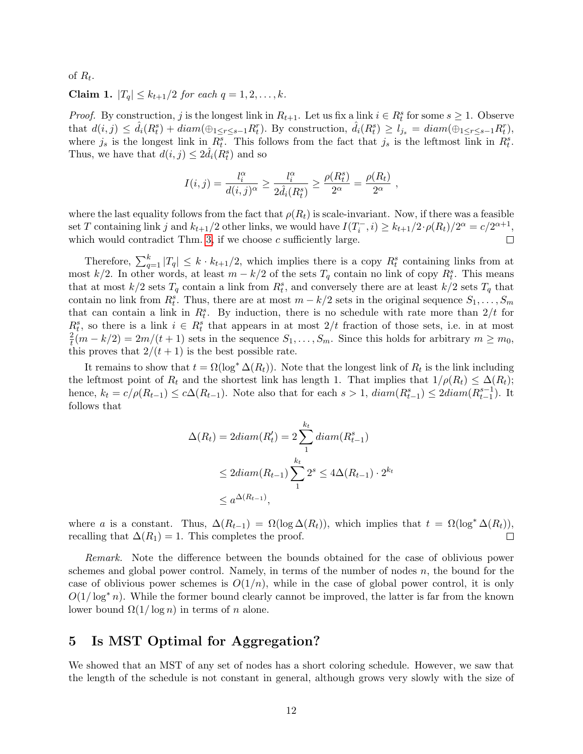of  $R_t$ .

<span id="page-12-0"></span>Claim 1.  $|T_q| \leq k_{t+1}/2$  for each  $q = 1, 2, ..., k$ .

*Proof.* By construction, j is the longest link in  $R_{t+1}$ . Let us fix a link  $i \in R_t^s$  for some  $s \geq 1$ . Observe that  $d(i, j) \leq \hat{d}_i(R_t^s) + diam(\bigoplus_{1 \leq r \leq s-1} R_t^r)$ . By construction,  $\hat{d}_i(R_t^s) \geq \hat{l}_{j_s} = diam(\bigoplus_{1 \leq r \leq s-1} R_t^r)$ , where  $j_s$  is the longest link in  $R_t^s$ . This follows from the fact that  $j_s$  is the leftmost link in  $R_t^s$ . Thus, we have that  $d(i, j) \leq 2\hat{d}_i(R_t^s)$  and so

$$
I(i,j) = \frac{l_i^{\alpha}}{d(i,j)^{\alpha}} \ge \frac{l_i^{\alpha}}{2\hat{d}_i(R_t^s)} \ge \frac{\rho(R_t^s)}{2^{\alpha}} = \frac{\rho(R_t)}{2^{\alpha}},
$$

where the last equality follows from the fact that  $\rho(R_t)$  is scale-invariant. Now, if there was a feasible set T containing link j and  $k_{t+1}/2$  other links, we would have  $I(T_i^-, i) \ge k_{t+1}/2 \cdot \rho(R_t)/2^{\alpha} = c/2^{\alpha+1}$ , which would contradict Thm. [3,](#page-10-0) if we choose  $c$  sufficiently large.  $\Box$ 

Therefore,  $\sum_{q=1}^{k} |T_q| \leq k \cdot k_{t+1}/2$ , which implies there is a copy  $R_t^s$  containing links from at most k/2. In other words, at least  $m - k/2$  of the sets  $T_q$  contain no link of copy  $R_t^s$ . This means that at most  $k/2$  sets  $T_q$  contain a link from  $R_t^s$ , and conversely there are at least  $k/2$  sets  $T_q$  that contain no link from  $R_t^s$ . Thus, there are at most  $m - k/2$  sets in the original sequence  $S_1, \ldots, S_m$ that can contain a link in  $R_t^s$ . By induction, there is no schedule with rate more than  $2/t$  for  $R_t^s$ , so there is a link  $i \in R_t^s$  that appears in at most  $2/t$  fraction of those sets, i.e. in at most 2  $t^2(t^2(m-k/2)) = 2m/(t+1)$  sets in the sequence  $S_1, \ldots, S_m$ . Since this holds for arbitrary  $m \ge m_0$ , this proves that  $2/(t+1)$  is the best possible rate.

It remains to show that  $t = \Omega(\log^* \Delta(R_t))$ . Note that the longest link of  $R_t$  is the link including the leftmost point of  $R_t$  and the shortest link has length 1. That implies that  $1/\rho(R_t) \leq \Delta(R_t)$ ; hence,  $k_t = c/\rho(R_{t-1}) \leq c\Delta(R_{t-1})$ . Note also that for each  $s > 1$ ,  $diam(R_{t-1}^s) \leq 2diam(R_{t-1}^{s-1})$ . It follows that

$$
\Delta(R_t) = 2diam(R'_t) = 2\sum_{1}^{k_t} diam(R^s_{t-1})
$$
  

$$
\leq 2diam(R_{t-1})\sum_{1}^{k_t} 2^s \leq 4\Delta(R_{t-1}) \cdot 2^{k_t}
$$
  

$$
\leq a^{\Delta(R_{t-1})},
$$

where a is a constant. Thus,  $\Delta(R_{t-1}) = \Omega(\log \Delta(R_t))$ , which implies that  $t = \Omega(\log^* \Delta(R_t))$ , recalling that  $\Delta(R_1) = 1$ . This completes the proof. П

Remark. Note the difference between the bounds obtained for the case of oblivious power schemes and global power control. Namely, in terms of the number of nodes  $n$ , the bound for the case of oblivious power schemes is  $O(1/n)$ , while in the case of global power control, it is only  $O(1/\log^* n)$ . While the former bound clearly cannot be improved, the latter is far from the known lower bound  $\Omega(1/\log n)$  in terms of n alone.

## 5 Is MST Optimal for Aggregation?

We showed that an MST of any set of nodes has a short coloring schedule. However, we saw that the length of the schedule is not constant in general, although grows very slowly with the size of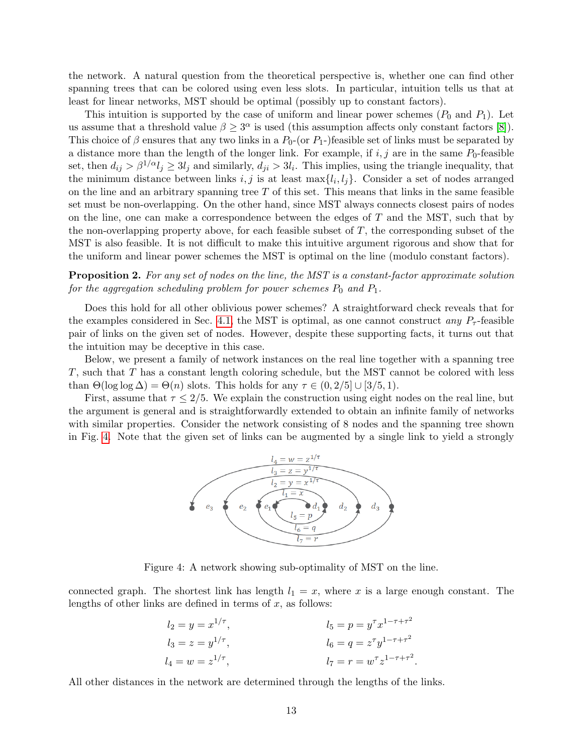the network. A natural question from the theoretical perspective is, whether one can find other spanning trees that can be colored using even less slots. In particular, intuition tells us that at least for linear networks, MST should be optimal (possibly up to constant factors).

This intuition is supported by the case of uniform and linear power schemes  $(P_0 \text{ and } P_1)$ . Let us assume that a threshold value  $\beta \geq 3^{\alpha}$  is used (this assumption affects only constant factors [\[8\]](#page-16-6)). This choice of  $\beta$  ensures that any two links in a  $P_0$ -(or  $P_1$ -)feasible set of links must be separated by a distance more than the length of the longer link. For example, if  $i, j$  are in the same  $P_0$ -feasible set, then  $d_{ij} > \beta^{1/\alpha} l_j \geq 3l_j$  and similarly,  $d_{ji} > 3l_i$ . This implies, using the triangle inequality, that the minimum distance between links  $i, j$  is at least  $\max\{l_i, l_j\}$ . Consider a set of nodes arranged on the line and an arbitrary spanning tree  $T$  of this set. This means that links in the same feasible set must be non-overlapping. On the other hand, since MST always connects closest pairs of nodes on the line, one can make a correspondence between the edges of  $T$  and the MST, such that by the non-overlapping property above, for each feasible subset of  $T$ , the corresponding subset of the MST is also feasible. It is not difficult to make this intuitive argument rigorous and show that for the uniform and linear power schemes the MST is optimal on the line (modulo constant factors).

**Proposition 2.** For any set of nodes on the line, the MST is a constant-factor approximate solution for the aggregation scheduling problem for power schemes  $P_0$  and  $P_1$ .

Does this hold for all other oblivious power schemes? A straightforward check reveals that for the examples considered in Sec. [4.1,](#page-9-2) the MST is optimal, as one cannot construct any  $P<sub>\tau</sub>$ -feasible pair of links on the given set of nodes. However, despite these supporting facts, it turns out that the intuition may be deceptive in this case.

Below, we present a family of network instances on the real line together with a spanning tree T, such that T has a constant length coloring schedule, but the MST cannot be colored with less than  $\Theta(\log \log \Delta) = \Theta(n)$  slots. This holds for any  $\tau \in (0, 2/5] \cup [3/5, 1)$ .

First, assume that  $\tau \leq 2/5$ . We explain the construction using eight nodes on the real line, but the argument is general and is straightforwardly extended to obtain an infinite family of networks with similar properties. Consider the network consisting of 8 nodes and the spanning tree shown in Fig. [4.](#page-13-0) Note that the given set of links can be augmented by a single link to yield a strongly



<span id="page-13-0"></span>Figure 4: A network showing sub-optimality of MST on the line.

connected graph. The shortest link has length  $l_1 = x$ , where x is a large enough constant. The lengths of other links are defined in terms of  $x$ , as follows:

$$
l_2 = y = x^{1/\tau}
$$
,  $l_5 = p = y^{\tau} x^{1-\tau+\tau^2}$   
\n $l_3 = z = y^{1/\tau}$ ,  $l_6 = q = z^{\tau} y^{1-\tau+\tau^2}$   
\n $l_4 = w = z^{1/\tau}$ ,  $l_7 = r = w^{\tau} z^{1-\tau+\tau^2}$ .

All other distances in the network are determined through the lengths of the links.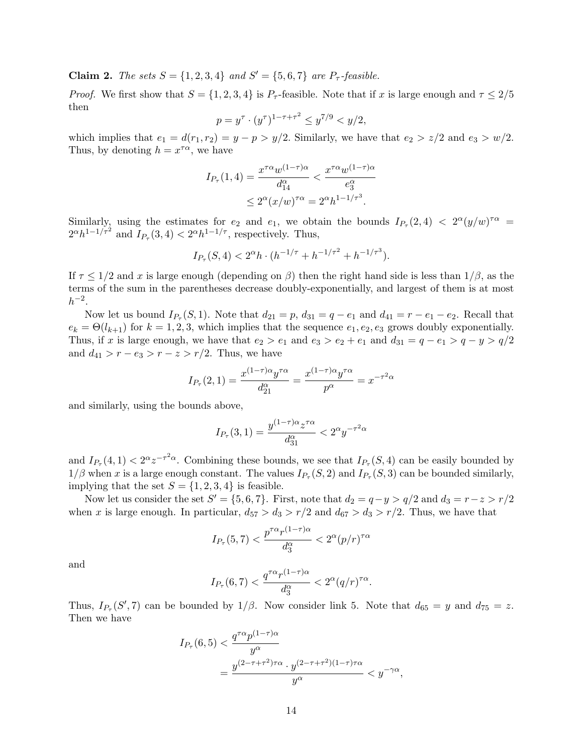**Claim 2.** The sets  $S = \{1, 2, 3, 4\}$  and  $S' = \{5, 6, 7\}$  are  $P_{\tau}$ -feasible.

*Proof.* We first show that  $S = \{1, 2, 3, 4\}$  is  $P_{\tau}$ -feasible. Note that if x is large enough and  $\tau \leq 2/5$ then

$$
p = y^{\tau} \cdot (y^{\tau})^{1 - \tau + \tau^2} \le y^{7/9} < y/2,
$$

which implies that  $e_1 = d(r_1, r_2) = y - p > y/2$ . Similarly, we have that  $e_2 > z/2$  and  $e_3 > w/2$ . Thus, by denoting  $h = x^{\tau \alpha}$ , we have

$$
I_{P_{\tau}}(1,4) = \frac{x^{\tau\alpha}w^{(1-\tau)\alpha}}{d_{14}^{\alpha}} < \frac{x^{\tau\alpha}w^{(1-\tau)\alpha}}{e_{3}^{\alpha}}
$$

$$
\leq 2^{\alpha}(x/w)^{\tau\alpha} = 2^{\alpha}h^{1-1/\tau^{3}}.
$$

Similarly, using the estimates for  $e_2$  and  $e_1$ , we obtain the bounds  $I_{P_{\tau}}(2,4) < 2^{\alpha}(y/w)^{\tau\alpha} =$  $2^{\alpha}h^{1-1/\tau^2}$  and  $I_{P_{\tau}}(3, 4) < 2^{\alpha}h^{1-1/\tau}$ , respectively. Thus,

$$
I_{P_{\tau}}(S, 4) < 2^{\alpha} h \cdot (h^{-1/\tau} + h^{-1/\tau^2} + h^{-1/\tau^3}).
$$

If  $\tau \leq 1/2$  and x is large enough (depending on  $\beta$ ) then the right hand side is less than  $1/\beta$ , as the terms of the sum in the parentheses decrease doubly-exponentially, and largest of them is at most  $h^{-2}$ .

Now let us bound  $I_{P_{\tau}}(S, 1)$ . Note that  $d_{21} = p$ ,  $d_{31} = q - e_1$  and  $d_{41} = r - e_1 - e_2$ . Recall that  $e_k = \Theta(l_{k+1})$  for  $k = 1, 2, 3$ , which implies that the sequence  $e_1, e_2, e_3$  grows doubly exponentially. Thus, if x is large enough, we have that  $e_2 > e_1$  and  $e_3 > e_2 + e_1$  and  $d_{31} = q - e_1 > q - y > q/2$ and  $d_{41} > r - e_3 > r - z > r/2$ . Thus, we have

$$
I_{P_{\tau}}(2, 1) = \frac{x^{(1-\tau)\alpha} y^{\tau\alpha}}{d_{21}^{\alpha}} = \frac{x^{(1-\tau)\alpha} y^{\tau\alpha}}{p^{\alpha}} = x^{-\tau^2\alpha}
$$

and similarly, using the bounds above,

$$
I_{P_{\tau}}(3, 1) = \frac{y^{(1-\tau)\alpha}z^{\tau\alpha}}{d_{31}^{\alpha}} < 2^{\alpha}y^{-\tau^2\alpha}
$$

and  $I_{P_{\tau}}(4,1) < 2^{\alpha}z^{-\tau^2\alpha}$ . Combining these bounds, we see that  $I_{P_{\tau}}(S,4)$  can be easily bounded by  $1/\beta$  when x is a large enough constant. The values  $I_{P_{\tau}}(S, 2)$  and  $I_{P_{\tau}}(S, 3)$  can be bounded similarly, implying that the set  $S = \{1, 2, 3, 4\}$  is feasible.

Now let us consider the set  $S' = \{5, 6, 7\}$ . First, note that  $d_2 = q - y > q/2$  and  $d_3 = r - z > r/2$ when x is large enough. In particular,  $d_{57} > d_3 > r/2$  and  $d_{67} > d_3 > r/2$ . Thus, we have that

$$
I_{P_{\tau}}(5,7) < \frac{p^{\tau\alpha}r^{(1-\tau)\alpha}}{d_3^{\alpha}} < 2^{\alpha}(p/r)^{\tau\alpha}
$$

and

$$
I_{P_{\tau}}(6,7) < \frac{q^{\tau\alpha}r^{(1-\tau)\alpha}}{d_3^{\alpha}} < 2^{\alpha}(q/r)^{\tau\alpha}.
$$

Thus,  $I_{P_{\tau}}(S', 7)$  can be bounded by  $1/\beta$ . Now consider link 5. Note that  $d_{65} = y$  and  $d_{75} = z$ . Then we have

$$
I_{P_{\tau}}(6,5) < \frac{q^{\tau\alpha}p^{(1-\tau)\alpha}}{y^{\alpha}}
$$
\n
$$
= \frac{y^{(2-\tau+\tau^2)\tau\alpha} \cdot y^{(2-\tau+\tau^2)(1-\tau)\tau\alpha}}{y^{\alpha}} < y^{-\gamma\alpha},
$$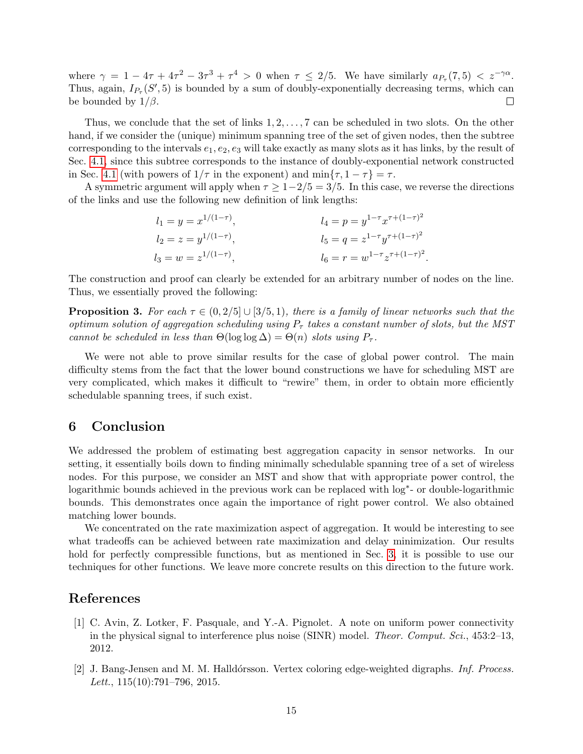where  $\gamma = 1 - 4\tau + 4\tau^2 - 3\tau^3 + \tau^4 > 0$  when  $\tau \leq 2/5$ . We have similarly  $a_{P_{\tau}}(7,5) < z^{-\gamma\alpha}$ . Thus, again,  $I_{P_{\tau}}(S', 5)$  is bounded by a sum of doubly-exponentially decreasing terms, which can be bounded by  $1/\beta$ .  $\Box$ 

Thus, we conclude that the set of links  $1, 2, \ldots, 7$  can be scheduled in two slots. On the other hand, if we consider the (unique) minimum spanning tree of the set of given nodes, then the subtree corresponding to the intervals  $e_1, e_2, e_3$  will take exactly as many slots as it has links, by the result of Sec. [4.1,](#page-9-2) since this subtree corresponds to the instance of doubly-exponential network constructed in Sec. [4.1](#page-9-2) (with powers of  $1/\tau$  in the exponent) and  $\min\{\tau, 1 - \tau\} = \tau$ .

A symmetric argument will apply when  $\tau \geq 1-2/5 = 3/5$ . In this case, we reverse the directions of the links and use the following new definition of link lengths:

$$
l_1 = y = x^{1/(1-\tau)},
$$
  
\n
$$
l_2 = z = y^{1/(1-\tau)},
$$
  
\n
$$
l_3 = w = z^{1/(1-\tau)},
$$
  
\n
$$
l_4 = p = y^{1-\tau} x^{\tau + (1-\tau)^2}
$$
  
\n
$$
l_5 = q = z^{1-\tau} y^{\tau + (1-\tau)^2}
$$
  
\n
$$
l_6 = r = w^{1-\tau} z^{\tau + (1-\tau)^2}.
$$

The construction and proof can clearly be extended for an arbitrary number of nodes on the line. Thus, we essentially proved the following:

**Proposition 3.** For each  $\tau \in (0, 2/5] \cup [3/5, 1)$ , there is a family of linear networks such that the optimum solution of aggregation scheduling using  $P<sub>\tau</sub>$  takes a constant number of slots, but the MST cannot be scheduled in less than  $\Theta(\log \log \Delta) = \Theta(n)$  slots using  $P_{\tau}$ .

We were not able to prove similar results for the case of global power control. The main difficulty stems from the fact that the lower bound constructions we have for scheduling MST are very complicated, which makes it difficult to "rewire" them, in order to obtain more efficiently schedulable spanning trees, if such exist.

## 6 Conclusion

We addressed the problem of estimating best aggregation capacity in sensor networks. In our setting, it essentially boils down to finding minimally schedulable spanning tree of a set of wireless nodes. For this purpose, we consider an MST and show that with appropriate power control, the logarithmic bounds achieved in the previous work can be replaced with log<sup>\*</sup>- or double-logarithmic bounds. This demonstrates once again the importance of right power control. We also obtained matching lower bounds.

We concentrated on the rate maximization aspect of aggregation. It would be interesting to see what tradeoffs can be achieved between rate maximization and delay minimization. Our results hold for perfectly compressible functions, but as mentioned in Sec. [3,](#page-5-0) it is possible to use our techniques for other functions. We leave more concrete results on this direction to the future work.

#### References

- <span id="page-15-1"></span>[1] C. Avin, Z. Lotker, F. Pasquale, and Y.-A. Pignolet. A note on uniform power connectivity in the physical signal to interference plus noise (SINR) model. Theor. Comput. Sci., 453:2–13, 2012.
- <span id="page-15-0"></span>[2] J. Bang-Jensen and M. M. Halldórsson. Vertex coloring edge-weighted digraphs. Inf. Process. Lett.,  $115(10):791-796$ ,  $2015$ .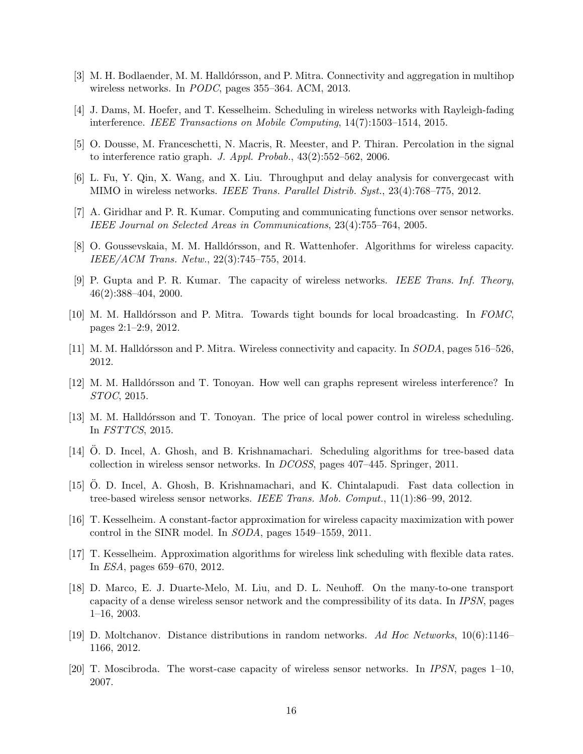- <span id="page-16-15"></span>[3] M. H. Bodlaender, M. M. Halldórsson, and P. Mitra. Connectivity and aggregation in multihop wireless networks. In PODC, pages 355–364. ACM, 2013.
- <span id="page-16-16"></span>[4] J. Dams, M. Hoefer, and T. Kesselheim. Scheduling in wireless networks with Rayleigh-fading interference. IEEE Transactions on Mobile Computing, 14(7):1503–1514, 2015.
- <span id="page-16-8"></span>[5] O. Dousse, M. Franceschetti, N. Macris, R. Meester, and P. Thiran. Percolation in the signal to interference ratio graph. J. Appl. Probab., 43(2):552–562, 2006.
- <span id="page-16-11"></span>[6] L. Fu, Y. Qin, X. Wang, and X. Liu. Throughput and delay analysis for convergecast with MIMO in wireless networks. IEEE Trans. Parallel Distrib. Syst., 23(4):768–775, 2012.
- <span id="page-16-1"></span>[7] A. Giridhar and P. R. Kumar. Computing and communicating functions over sensor networks. IEEE Journal on Selected Areas in Communications, 23(4):755–764, 2005.
- <span id="page-16-6"></span>[8] O. Goussevskaia, M. M. Halldórsson, and R. Wattenhofer. Algorithms for wireless capacity. IEEE/ACM Trans. Netw., 22(3):745–755, 2014.
- <span id="page-16-0"></span>[9] P. Gupta and P. R. Kumar. The capacity of wireless networks. IEEE Trans. Inf. Theory, 46(2):388–404, 2000.
- <span id="page-16-17"></span>[10] M. M. Halldórsson and P. Mitra. Towards tight bounds for local broadcasting. In FOMC, pages 2:1–2:9, 2012.
- <span id="page-16-5"></span>[11] M. M. Halldórsson and P. Mitra. Wireless connectivity and capacity. In *SODA*, pages 516–526, 2012.
- <span id="page-16-2"></span>[12] M. M. Halldórsson and T. Tonoyan. How well can graphs represent wireless interference? In STOC, 2015.
- <span id="page-16-3"></span>[13] M. M. Halldórsson and T. Tonoyan. The price of local power control in wireless scheduling. In FSTTCS, 2015.
- <span id="page-16-12"></span>[14] O. D. Incel, A. Ghosh, and B. Krishnamachari. Scheduling algorithms for tree-based data collection in wireless sensor networks. In DCOSS, pages 407–445. Springer, 2011.
- <span id="page-16-10"></span>[15] O. D. Incel, A. Ghosh, B. Krishnamachari, and K. Chintalapudi. Fast data collection in tree-based wireless sensor networks. IEEE Trans. Mob. Comput., 11(1):86–99, 2012.
- <span id="page-16-4"></span>[16] T. Kesselheim. A constant-factor approximation for wireless capacity maximization with power control in the SINR model. In SODA, pages 1549–1559, 2011.
- <span id="page-16-14"></span>[17] T. Kesselheim. Approximation algorithms for wireless link scheduling with flexible data rates. In ESA, pages 659–670, 2012.
- <span id="page-16-7"></span>[18] D. Marco, E. J. Duarte-Melo, M. Liu, and D. L. Neuhoff. On the many-to-one transport capacity of a dense wireless sensor network and the compressibility of its data. In IPSN, pages 1–16, 2003.
- <span id="page-16-13"></span>[19] D. Moltchanov. Distance distributions in random networks. Ad Hoc Networks, 10(6):1146– 1166, 2012.
- <span id="page-16-9"></span>[20] T. Moscibroda. The worst-case capacity of wireless sensor networks. In IPSN, pages 1–10, 2007.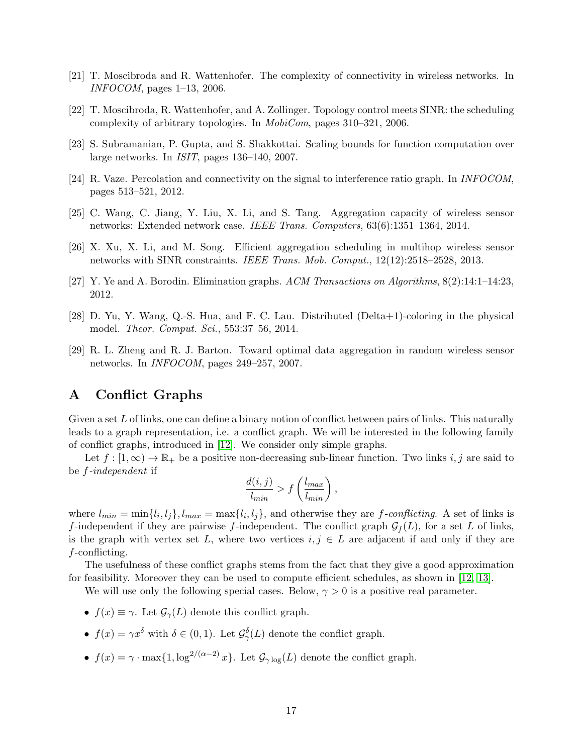- <span id="page-17-1"></span>[21] T. Moscibroda and R. Wattenhofer. The complexity of connectivity in wireless networks. In INFOCOM, pages 1–13, 2006.
- <span id="page-17-2"></span>[22] T. Moscibroda, R. Wattenhofer, and A. Zollinger. Topology control meets SINR: the scheduling complexity of arbitrary topologies. In MobiCom, pages 310–321, 2006.
- <span id="page-17-5"></span>[23] S. Subramanian, P. Gupta, and S. Shakkottai. Scaling bounds for function computation over large networks. In ISIT, pages 136–140, 2007.
- <span id="page-17-0"></span>[24] R. Vaze. Percolation and connectivity on the signal to interference ratio graph. In INFOCOM, pages 513–521, 2012.
- <span id="page-17-4"></span>[25] C. Wang, C. Jiang, Y. Liu, X. Li, and S. Tang. Aggregation capacity of wireless sensor networks: Extended network case. IEEE Trans. Computers, 63(6):1351–1364, 2014.
- <span id="page-17-3"></span>[26] X. Xu, X. Li, and M. Song. Efficient aggregation scheduling in multihop wireless sensor networks with SINR constraints. IEEE Trans. Mob. Comput., 12(12):2518–2528, 2013.
- <span id="page-17-8"></span>[27] Y. Ye and A. Borodin. Elimination graphs. ACM Transactions on Algorithms, 8(2):14:1–14:23, 2012.
- <span id="page-17-7"></span>[28] D. Yu, Y. Wang, Q.-S. Hua, and F. C. Lau. Distributed (Delta+1)-coloring in the physical model. Theor. Comput. Sci., 553:37–56, 2014.
- <span id="page-17-6"></span>[29] R. L. Zheng and R. J. Barton. Toward optimal data aggregation in random wireless sensor networks. In INFOCOM, pages 249–257, 2007.

## A Conflict Graphs

Given a set  $L$  of links, one can define a binary notion of conflict between pairs of links. This naturally leads to a graph representation, i.e. a conflict graph. We will be interested in the following family of conflict graphs, introduced in [\[12\]](#page-16-2). We consider only simple graphs.

Let  $f : [1, \infty) \to \mathbb{R}_+$  be a positive non-decreasing sub-linear function. Two links i, j are said to be f-independent if

$$
\frac{d(i,j)}{l_{min}} > f\left(\frac{l_{max}}{l_{min}}\right),\,
$$

where  $l_{min} = \min\{l_i, l_j\}, l_{max} = \max\{l_i, l_j\}$ , and otherwise they are f-conflicting. A set of links is f-independent if they are pairwise f-independent. The conflict graph  $\mathcal{G}_f(L)$ , for a set L of links, is the graph with vertex set L, where two vertices  $i, j \in L$  are adjacent if and only if they are f-conflicting.

The usefulness of these conflict graphs stems from the fact that they give a good approximation for feasibility. Moreover they can be used to compute efficient schedules, as shown in [\[12,](#page-16-2) [13\]](#page-16-3).

We will use only the following special cases. Below,  $\gamma > 0$  is a positive real parameter.

- $f(x) \equiv \gamma$ . Let  $\mathcal{G}_{\gamma}(L)$  denote this conflict graph.
- $f(x) = \gamma x^{\delta}$  with  $\delta \in (0,1)$ . Let  $\mathcal{G}_{\gamma}^{\delta}(L)$  denote the conflict graph.
- $f(x) = \gamma \cdot \max\{1, \log^{2/(\alpha-2)} x\}.$  Let  $\mathcal{G}_{\gamma \log}(L)$  denote the conflict graph.